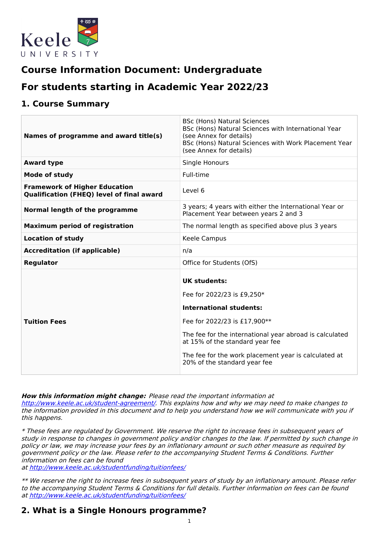

# **Course Information Document: Undergraduate**

# **For students starting in Academic Year 2022/23**

## **1. Course Summary**

| Names of programme and award title(s)                                                    | <b>BSc (Hons) Natural Sciences</b><br>BSc (Hons) Natural Sciences with International Year<br>(see Annex for details)<br>BSc (Hons) Natural Sciences with Work Placement Year<br>(see Annex for details)                                                                                                   |
|------------------------------------------------------------------------------------------|-----------------------------------------------------------------------------------------------------------------------------------------------------------------------------------------------------------------------------------------------------------------------------------------------------------|
| <b>Award type</b>                                                                        | Single Honours                                                                                                                                                                                                                                                                                            |
| <b>Mode of study</b>                                                                     | Full-time                                                                                                                                                                                                                                                                                                 |
| <b>Framework of Higher Education</b><br><b>Qualification (FHEQ) level of final award</b> | Level 6                                                                                                                                                                                                                                                                                                   |
| Normal length of the programme                                                           | 3 years; 4 years with either the International Year or<br>Placement Year between years 2 and 3                                                                                                                                                                                                            |
| <b>Maximum period of registration</b>                                                    | The normal length as specified above plus 3 years                                                                                                                                                                                                                                                         |
| <b>Location of study</b>                                                                 | Keele Campus                                                                                                                                                                                                                                                                                              |
| <b>Accreditation (if applicable)</b>                                                     | n/a                                                                                                                                                                                                                                                                                                       |
| <b>Regulator</b>                                                                         | Office for Students (OfS)                                                                                                                                                                                                                                                                                 |
| <b>Tuition Fees</b>                                                                      | <b>UK students:</b><br>Fee for 2022/23 is £9,250*<br><b>International students:</b><br>Fee for 2022/23 is £17,900**<br>The fee for the international year abroad is calculated<br>at 15% of the standard year fee<br>The fee for the work placement year is calculated at<br>20% of the standard year fee |

#### **How this information might change:** Please read the important information at

<http://www.keele.ac.uk/student-agreement/>. This explains how and why we may need to make changes to the information provided in this document and to help you understand how we will communicate with you if this happens.

\* These fees are regulated by Government. We reserve the right to increase fees in subsequent years of study in response to changes in government policy and/or changes to the law. If permitted by such change in policy or law, we may increase your fees by an inflationary amount or such other measure as required by government policy or the law. Please refer to the accompanying Student Terms & Conditions. Further information on fees can be found

at <http://www.keele.ac.uk/studentfunding/tuitionfees/>

\*\* We reserve the right to increase fees in subsequent years of study by an inflationary amount. Please refer to the accompanying Student Terms & Conditions for full details. Further information on fees can be found at <http://www.keele.ac.uk/studentfunding/tuitionfees/>

# **2. What is a Single Honours programme?**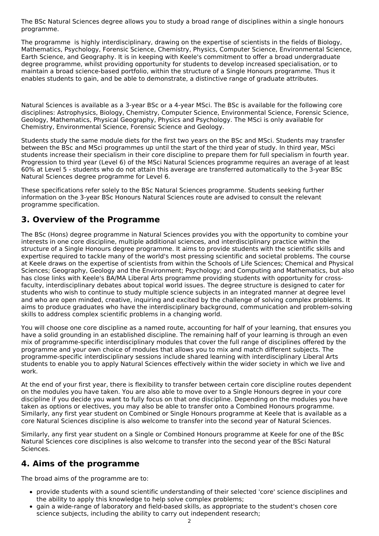The BSc Natural Sciences degree allows you to study a broad range of disciplines within a single honours programme.

The programme is highly interdisciplinary, drawing on the expertise of scientists in the fields of Biology, Mathematics, Psychology, Forensic Science, Chemistry, Physics, Computer Science, Environmental Science, Earth Science, and Geography. It is in keeping with Keele's commitment to offer a broad undergraduate degree programme, whilst providing opportunity for students to develop increased specialisation, or to maintain a broad science-based portfolio, within the structure of a Single Honours programme. Thus it enables students to gain, and be able to demonstrate, a distinctive range of graduate attributes.

Natural Sciences is available as a 3-year BSc or a 4-year MSci. The BSc is available for the following core disciplines: Astrophysics, Biology, Chemistry, Computer Science, Environmental Science, Forensic Science, Geology, Mathematics, Physical Geography, Physics and Psychology. The MSci is only available for Chemistry, Environmental Science, Forensic Science and Geology.

Students study the same module diets for the first two years on the BSc and MSci. Students may transfer between the BSc and MSci programmes up until the start of the third year of study. In third year, MSci students increase their specialism in their core discipline to prepare them for full specialism in fourth year. Progression to third year (Level 6) of the MSci Natural Sciences programme requires an average of at least 60% at Level 5 - students who do not attain this average are transferred automatically to the 3-year BSc Natural Sciences degree programme for Level 6.

These specifications refer solely to the BSc Natural Sciences programme. Students seeking further information on the 3-year BSc Honours Natural Sciences route are advised to consult the relevant programme specification.

# **3. Overview of the Programme**

The BSc (Hons) degree programme in Natural Sciences provides you with the opportunity to combine your interests in one core discipline, multiple additional sciences, and interdisciplinary practice within the structure of a Single Honours degree programme. It aims to provide students with the scientific skills and expertise required to tackle many of the world's most pressing scientific and societal problems. The course at Keele draws on the expertise of scientists from within the Schools of Life Sciences; Chemical and Physical Sciences; Geography, Geology and the Environment; Psychology; and Computing and Mathematics, but also has close links with Keele's BA/MA Liberal Arts programme providing students with opportunity for crossfaculty, interdisciplinary debates about topical world issues. The degree structure is designed to cater for students who wish to continue to study multiple science subjects in an integrated manner at degree level and who are open minded, creative, inquiring and excited by the challenge of solving complex problems. It aims to produce graduates who have the interdisciplinary background, communication and problem-solving skills to address complex scientific problems in a changing world.

You will choose one core discipline as a named route, accounting for half of your learning, that ensures you have a solid grounding in an established discipline. The remaining half of your learning is through an even mix of programme-specific interdisciplinary modules that cover the full range of disciplines offered by the programme and your own choice of modules that allows you to mix and match different subjects. The programme-specific interdisciplinary sessions include shared learning with interdisciplinary Liberal Arts students to enable you to apply Natural Sciences effectively within the wider society in which we live and work.

At the end of your first year, there is flexibility to transfer between certain core discipline routes dependent on the modules you have taken. You are also able to move over to a Single Honours degree in your core discipline if you decide you want to fully focus on that one discipline. Depending on the modules you have taken as options or electives, you may also be able to transfer onto a Combined Honours programme. Similarly, any first year student on Combined or Single Honours programme at Keele that is available as a core Natural Sciences discipline is also welcome to transfer into the second year of Natural Sciences.

Similarly, any first year student on a Single or Combined Honours programme at Keele for one of the BSc Natural Sciences core disciplines is also welcome to transfer into the second year of the BSci Natural Sciences.

# **4. Aims of the programme**

The broad aims of the programme are to:

- provide students with a sound scientific understanding of their selected 'core' science disciplines and the ability to apply this knowledge to help solve complex problems;
- gain a wide-range of laboratory and field-based skills, as appropriate to the student's chosen core science subjects, including the ability to carry out independent research;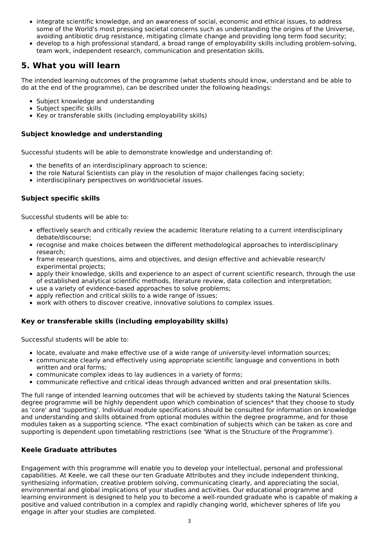- integrate scientific knowledge, and an awareness of social, economic and ethical issues, to address some of the World's most pressing societal concerns such as understanding the origins of the Universe, avoiding antibiotic drug resistance, mitigating climate change and providing long term food security;
- develop to a high professional standard, a broad range of employability skills including problem-solving, team work, independent research, communication and presentation skills.

# **5. What you will learn**

The intended learning outcomes of the programme (what students should know, understand and be able to do at the end of the programme), can be described under the following headings:

- Subject knowledge and understanding
- Subject specific skills
- Key or transferable skills (including employability skills)

## **Subject knowledge and understanding**

Successful students will be able to demonstrate knowledge and understanding of:

- the benefits of an interdisciplinary approach to science;
- the role Natural Scientists can play in the resolution of major challenges facing society;
- interdisciplinary perspectives on world/societal issues.

## **Subject specific skills**

Successful students will be able to:

- effectively search and critically review the academic literature relating to a current interdisciplinary debate/discourse;
- recognise and make choices between the different methodological approaches to interdisciplinary research;
- frame research questions, aims and objectives, and design effective and achievable research/ experimental projects;
- apply their knowledge, skills and experience to an aspect of current scientific research, through the use of established analytical scientific methods, literature review, data collection and interpretation;
- use a variety of evidence-based approaches to solve problems;
- apply reflection and critical skills to a wide range of issues;
- work with others to discover creative, innovative solutions to complex issues.

## **Key or transferable skills (including employability skills)**

Successful students will be able to:

- locate, evaluate and make effective use of a wide range of university-level information sources;
- communicate clearly and effectively using appropriate scientific language and conventions in both written and oral forms;
- communicate complex ideas to lay audiences in a variety of forms;
- communicate reflective and critical ideas through advanced written and oral presentation skills.

The full range of intended learning outcomes that will be achieved by students taking the Natural Sciences degree programme will be highly dependent upon which combination of sciences\* that they choose to study as 'core' and 'supporting'. Individual module specifications should be consulted for information on knowledge and understanding and skills obtained from optional modules within the degree programme, and for those modules taken as a supporting science. \*The exact combination of subjects which can be taken as core and supporting is dependent upon timetabling restrictions (see 'What is the Structure of the Programme').

## **Keele Graduate attributes**

Engagement with this programme will enable you to develop your intellectual, personal and professional capabilities. At Keele, we call these our ten Graduate Attributes and they include independent thinking, synthesizing information, creative problem solving, communicating clearly, and appreciating the social, environmental and global implications of your studies and activities. Our educational programme and learning environment is designed to help you to become a well-rounded graduate who is capable of making a positive and valued contribution in a complex and rapidly changing world, whichever spheres of life you engage in after your studies are completed.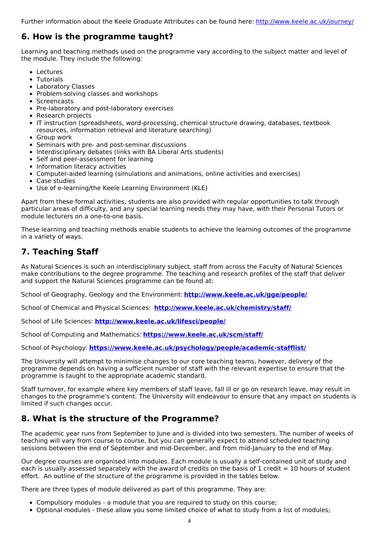Further information about the Keele Graduate Attributes can be found here: <http://www.keele.ac.uk/journey/>

# **6. How is the programme taught?**

Learning and teaching methods used on the programme vary according to the subject matter and level of the module. They include the following:

- Lectures
- Tutorials
- Laboratory Classes
- Problem-solving classes and workshops
- Screencasts
- Pre-laboratory and post-laboratory exercises
- Research projects
- IT instruction (spreadsheets, word-processing, chemical structure drawing, databases, textbook resources, information retrieval and literature searching)
- Group work
- Seminars with pre- and post-seminar discussions
- Interdisciplinary debates (links with BA Liberal Arts students)
- Self and peer-assessment for learning
- Information literacy activities
- Computer-aided learning (simulations and animations, online activities and exercises)
- Case studies
- Use of e-learning/the Keele Learning Environment (KLE)

Apart from these formal activities, students are also provided with regular opportunities to talk through particular areas of difficulty, and any special learning needs they may have, with their Personal Tutors or module lecturers on a one-to-one basis.

These learning and teaching methods enable students to achieve the learning outcomes of the programme in a variety of ways.

# **7. Teaching Staff**

As Natural Sciences is such an interdisciplinary subject, staff from across the Faculty of Natural Sciences make contributions to the degree programme. The teaching and research profiles of the staff that deliver and support the Natural Sciences programme can be found at:

School of Geography, Geology and the Environment: **<http://www.keele.ac.uk/gge/people/>**

School of Chemical and Physical Sciences: **<http://www.keele.ac.uk/chemistry/staff/>**

School of Life Sciences: **<http://www.keele.ac.uk/lifesci/people/>**

School of Computing and Mathematics: **<https://www.keele.ac.uk/scm/staff/>**

School of Psychology: **<https://www.keele.ac.uk/psychology/people/academic-stafflist/>**

The University will attempt to minimise changes to our core teaching teams, however, delivery of the programme depends on having a sufficient number of staff with the relevant expertise to ensure that the programme is taught to the appropriate academic standard.

Staff turnover, for example where key members of staff leave, fall ill or go on research leave, may result in changes to the programme's content. The University will endeavour to ensure that any impact on students is limited if such changes occur.

# **8. What is the structure of the Programme?**

The academic year runs from September to June and is divided into two semesters. The number of weeks of teaching will vary from course to course, but you can generally expect to attend scheduled teaching sessions between the end of September and mid-December, and from mid-January to the end of May.

Our degree courses are organised into modules. Each module is usually a self-contained unit of study and each is usually assessed separately with the award of credits on the basis of  $1$  credit = 10 hours of student effort. An outline of the structure of the programme is provided in the tables below.

There are three types of module delivered as part of this programme. They are:

- Compulsory modules a module that you are required to study on this course;
- Optional modules these allow you some limited choice of what to study from a list of modules;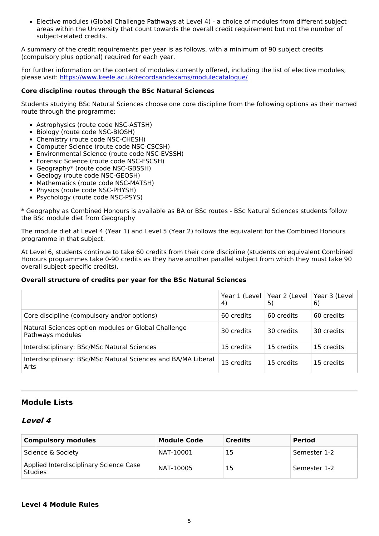Elective modules (Global Challenge Pathways at Level 4) - a choice of modules from different subject areas within the University that count towards the overall credit requirement but not the number of subject-related credits.

A summary of the credit requirements per year is as follows, with a minimum of 90 subject credits (compulsory plus optional) required for each year.

For further information on the content of modules currently offered, including the list of elective modules, please visit: <https://www.keele.ac.uk/recordsandexams/modulecatalogue/>

#### **Core discipline routes through the BSc Natural Sciences**

Students studying BSc Natural Sciences choose one core discipline from the following options as their named route through the programme:

- Astrophysics (route code NSC-ASTSH)
- Biology (route code NSC-BIOSH)
- Chemistry (route code NSC-CHESH)
- Computer Science (route code NSC-CSCSH)
- Environmental Science (route code NSC-EVSSH)
- Forensic Science (route code NSC-FSCSH)
- Geography\* (route code NSC-GBSSH)
- Geology (route code NSC-GEOSH)
- Mathematics (route code NSC-MATSH)
- Physics (route code NSC-PHYSH)
- Psychology (route code NSC-PSYS)

\* Geography as Combined Honours is available as BA or BSc routes - BSc Natural Sciences students follow the BSc module diet from Geography

The module diet at Level 4 (Year 1) and Level 5 (Year 2) follows the equivalent for the Combined Honours programme in that subject.

At Level 6, students continue to take 60 credits from their core discipline (students on equivalent Combined Honours programmes take 0-90 credits as they have another parallel subject from which they must take 90 overall subject-specific credits).

#### **Overall structure of credits per year for the BSc Natural Sciences**

|                                                                         | Year 1 (Level<br>4) | Year 2 (Level<br>5) | Year 3 (Level<br>6) |
|-------------------------------------------------------------------------|---------------------|---------------------|---------------------|
| Core discipline (compulsory and/or options)                             | 60 credits          | 60 credits          | 60 credits          |
| Natural Sciences option modules or Global Challenge<br>Pathways modules | 30 credits          | 30 credits          | 30 credits          |
| Interdisciplinary: BSc/MSc Natural Sciences                             | 15 credits          | 15 credits          | 15 credits          |
| Interdisciplinary: BSc/MSc Natural Sciences and BA/MA Liberal<br>Arts   | 15 credits          | 15 credits          | 15 credits          |

## **Module Lists**

#### **Level 4**

| <b>Compulsory modules</b>                                | <b>Module Code</b> | <b>Credits</b> | <b>Period</b> |
|----------------------------------------------------------|--------------------|----------------|---------------|
| Science & Society                                        | NAT-10001          | 15             | Semester 1-2  |
| Applied Interdisciplinary Science Case<br><b>Studies</b> | NAT-10005          | 15             | Semester 1-2  |

#### **Level 4 Module Rules**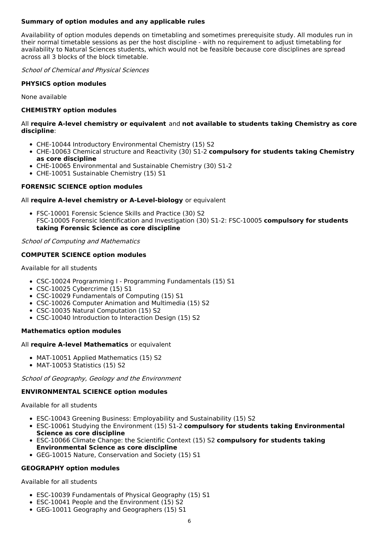## **Summary of option modules and any applicable rules**

Availability of option modules depends on timetabling and sometimes prerequisite study. All modules run in their normal timetable sessions as per the host discipline - with no requirement to adjust timetabling for availability to Natural Sciences students, which would not be feasible because core disciplines are spread across all 3 blocks of the block timetable.

School of Chemical and Physical Sciences

#### **PHYSICS option modules**

None available

#### **CHEMISTRY option modules**

#### All **require A-level chemistry or equivalent** and **not available to students taking Chemistry as core discipline**:

- CHE-10044 Introductory Environmental Chemistry (15) S2
- CHE-10063 Chemical structure and Reactivity (30) S1-2 **compulsory for students taking Chemistry as core discipline**
- CHE-10065 Environmental and Sustainable Chemistry (30) S1-2
- CHE-10051 Sustainable Chemistry (15) S1

#### **FORENSIC SCIENCE option modules**

#### All **require A-level chemistry or A-Level-biology** or equivalent

FSC-10001 Forensic Science Skills and Practice (30) S2 FSC-10005 Forensic Identification and Investigation (30) S1-2: FSC-10005 **compulsory for students taking Forensic Science as core discipline**

#### School of Computing and Mathematics

#### **COMPUTER SCIENCE option modules**

Available for all students

- CSC-10024 Programming I Programming Fundamentals (15) S1
- CSC-10025 Cybercrime (15) S1
- CSC-10029 Fundamentals of Computing (15) S1
- CSC-10026 Computer Animation and Multimedia (15) S2
- CSC-10035 Natural Computation (15) S2
- CSC-10040 Introduction to Interaction Design (15) S2

#### **Mathematics option modules**

#### All **require A-level Mathematics** or equivalent

- MAT-10051 Applied Mathematics (15) S2
- MAT-10053 Statistics (15) S2

School of Geography, Geology and the Environment

#### **ENVIRONMENTAL SCIENCE option modules**

Available for all students

- ESC-10043 Greening Business: Employability and Sustainability (15) S2
- ESC-10061 Studying the Environment (15) S1-2 **compulsory for students taking Environmental Science as core discipline**
- ESC-10066 Climate Change: the Scientific Context (15) S2 **compulsory for students taking Environmental Science as core discipline**
- GEG-10015 Nature, Conservation and Society (15) S1

#### **GEOGRAPHY option modules**

Available for all students

- ESC-10039 Fundamentals of Physical Geography (15) S1
- ESC-10041 People and the Environment (15) S2
- GEG-10011 Geography and Geographers (15) S1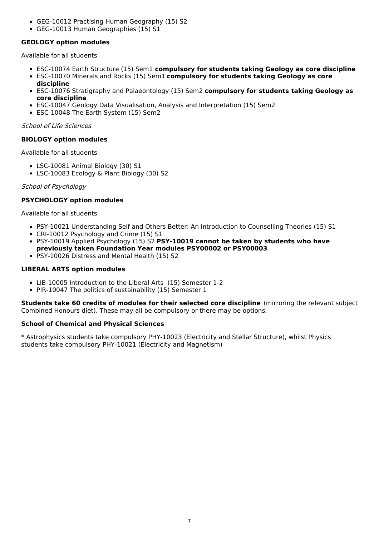- GEG-10012 Practising Human Geography (15) S2
- GEG-10013 Human Geographies (15) S1

#### **GEOLOGY option modules**

Available for all students

- ESC-10074 Earth Structure (15) Sem1 **compulsory for students taking Geology as core discipline**
- ESC-10070 Minerals and Rocks (15) Sem1 **compulsory for students taking Geology as core discipline**
- ESC-10076 Stratigraphy and Palaeontology (15) Sem2 **compulsory for students taking Geology as core discipline**
- ESC-10047 Geology Data Visualisation, Analysis and Interpretation (15) Sem2
- ESC-10048 The Earth System (15) Sem2

#### School of Life Sciences

#### **BIOLOGY option modules**

Available for all students

- LSC-10081 Animal Biology (30) S1
- LSC-10083 Ecology & Plant Biology (30) S2

#### School of Psychology

#### **PSYCHOLOGY option modules**

Available for all students

- PSY-10021 Understanding Self and Others Better: An Introduction to Counselling Theories (15) S1
- CRI-10012 Psychology and Crime (15) S1
- PSY-10019 Applied Psychology (15) S2 **PSY-10019 cannot be taken by students who have previously taken Foundation Year modules PSY00002 or PSY00003**
- PSY-10026 Distress and Mental Health (15) S2

#### **LIBERAL ARTS option modules**

- LIB-10005 Introduction to the Liberal Arts (15) Semester 1-2
- PIR-10047 The politics of sustainability (15) Semester 1

**Students take 60 credits of modules for their selected core discipline** (mirroring the relevant subject Combined Honours diet). These may all be compulsory or there may be options.

#### **School of Chemical and Physical Sciences**

\* Astrophysics students take compulsory PHY-10023 (Electricity and Stellar Structure), whilst Physics students take compulsory PHY-10021 (Electricity and Magnetism)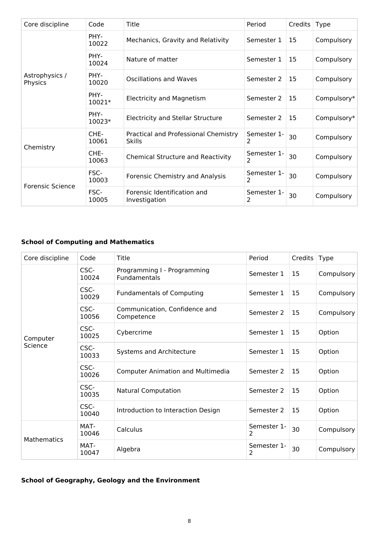| Core discipline           | Code           | Title                                                 | Period           | Credits | Type        |
|---------------------------|----------------|-------------------------------------------------------|------------------|---------|-------------|
|                           | PHY-<br>10022  | Mechanics, Gravity and Relativity                     | Semester 1       | 15      | Compulsory  |
|                           | PHY-<br>10024  | Nature of matter                                      | Semester 1       | 15      | Compulsory  |
| Astrophysics /<br>Physics | PHY-<br>10020  | Oscillations and Waves                                | Semester 2       | 15      | Compulsory  |
|                           | PHY-<br>10021* | <b>Electricity and Magnetism</b>                      | Semester 2       | 15      | Compulsory* |
|                           | PHY-<br>10023* | <b>Electricity and Stellar Structure</b>              | Semester 2       | 15      | Compulsory* |
|                           | CHE-<br>10061  | Practical and Professional Chemistry<br><b>Skills</b> | Semester 1-<br>2 | 30      | Compulsory  |
| Chemistry                 | CHE-<br>10063  | <b>Chemical Structure and Reactivity</b>              | Semester 1-<br>2 | 30      | Compulsory  |
| <b>Forensic Science</b>   | FSC-<br>10003  | Forensic Chemistry and Analysis                       | Semester 1-<br>2 | 30      | Compulsory  |
|                           | FSC-<br>10005  | Forensic Identification and<br>Investigation          | Semester 1-<br>2 | 30      | Compulsory  |

## **School of Computing and Mathematics**

| Core discipline     | Code          | Title                                       | Period           | Credits | <b>Type</b> |
|---------------------|---------------|---------------------------------------------|------------------|---------|-------------|
|                     | CSC-<br>10024 | Programming I - Programming<br>Fundamentals | Semester 1       | 15      | Compulsory  |
|                     | CSC-<br>10029 | <b>Fundamentals of Computing</b>            | Semester 1       | 15      | Compulsory  |
|                     | CSC-<br>10056 | Communication, Confidence and<br>Competence | Semester 2       | 15      | Compulsory  |
| Computer<br>Science | CSC-<br>10025 | Cybercrime                                  | Semester 1       | 15      | Option      |
|                     | CSC-<br>10033 | Systems and Architecture                    | Semester 1       | 15      | Option      |
|                     | CSC-<br>10026 | <b>Computer Animation and Multimedia</b>    | Semester 2       | 15      | Option      |
|                     | CSC-<br>10035 | <b>Natural Computation</b>                  | Semester 2       | 15      | Option      |
|                     | CSC-<br>10040 | Introduction to Interaction Design          | Semester 2       | 15      | Option      |
| <b>Mathematics</b>  | MAT-<br>10046 | Calculus                                    | Semester 1-<br>2 | 30      | Compulsory  |
|                     | MAT-<br>10047 | Algebra                                     | Semester 1-<br>2 | 30      | Compulsory  |

## **School of Geography, Geology and the Environment**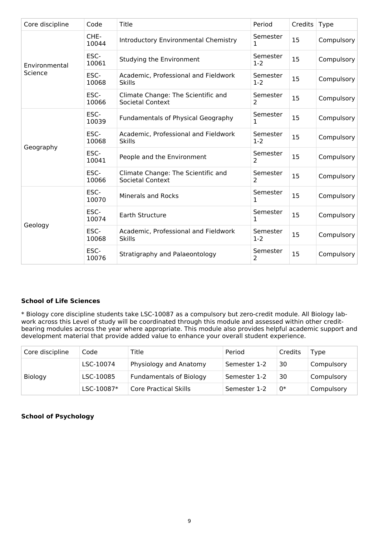| Core discipline | Code          | Title                                                         | Period            | Credits | Type       |
|-----------------|---------------|---------------------------------------------------------------|-------------------|---------|------------|
|                 | CHE-<br>10044 | Introductory Environmental Chemistry                          | Semester<br>1     | 15      | Compulsory |
| Environmental   | ESC-<br>10061 | Studying the Environment                                      | Semester<br>$1-2$ | 15      | Compulsory |
| Science         | ESC-<br>10068 | Academic, Professional and Fieldwork<br><b>Skills</b>         | Semester<br>$1-2$ | 15      | Compulsory |
|                 | ESC-<br>10066 | Climate Change: The Scientific and<br><b>Societal Context</b> | Semester<br>2     | 15      | Compulsory |
|                 | ESC-<br>10039 | <b>Fundamentals of Physical Geography</b>                     | Semester<br>1     | 15      | Compulsory |
|                 | ESC-<br>10068 | Academic, Professional and Fieldwork<br><b>Skills</b>         | Semester<br>$1-2$ | 15      | Compulsory |
| Geography       | ESC-<br>10041 | People and the Environment                                    | Semester<br>2     | 15      | Compulsory |
|                 | ESC-<br>10066 | Climate Change: The Scientific and<br><b>Societal Context</b> | Semester<br>2     | 15      | Compulsory |
|                 | ESC-<br>10070 | <b>Minerals and Rocks</b>                                     | Semester<br>1     | 15      | Compulsory |
| Geology         | ESC-<br>10074 | Earth Structure                                               | Semester<br>1     | 15      | Compulsory |
|                 | ESC-<br>10068 | Academic, Professional and Fieldwork<br><b>Skills</b>         | Semester<br>$1-2$ | 15      | Compulsory |
|                 | ESC-<br>10076 | Stratigraphy and Palaeontology                                | Semester<br>2     | 15      | Compulsory |

## **School of Life Sciences**

\* Biology core discipline students take LSC-10087 as a compulsory but zero-credit module. All Biology labwork across this Level of study will be coordinated through this module and assessed within other creditbearing modules across the year where appropriate. This module also provides helpful academic support and development material that provide added value to enhance your overall student experience.

| Core discipline | Code       | Title                          | Period       | Credits | Type       |
|-----------------|------------|--------------------------------|--------------|---------|------------|
| <b>Biology</b>  | LSC-10074  | Physiology and Anatomy         | Semester 1-2 | 30      | Compulsory |
|                 | LSC-10085  | <b>Fundamentals of Biology</b> | Semester 1-2 | 30      | Compulsory |
|                 | LSC-10087* | <b>Core Practical Skills</b>   | Semester 1-2 | 0*      | Compulsory |

## **School of Psychology**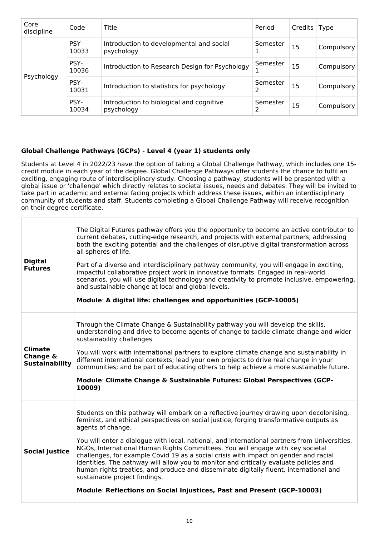| Core<br>discipline | Code          | Title                                                  | Period   | Credits   Type |            |
|--------------------|---------------|--------------------------------------------------------|----------|----------------|------------|
| Psychology         | PSY-<br>10033 | Introduction to developmental and social<br>psychology | Semester | 15             | Compulsory |
|                    | PSY-<br>10036 | Introduction to Research Design for Psychology         | Semester | 15             | Compulsory |
|                    | PSY-<br>10031 | Introduction to statistics for psychology              | Semester | 15             | Compulsory |
|                    | PSY-<br>10034 | Introduction to biological and cognitive<br>psychology | Semester | 15             | Compulsory |

## **Global Challenge Pathways (GCPs) - Level 4 (year 1) students only**

Students at Level 4 in 2022/23 have the option of taking a Global Challenge Pathway, which includes one 15 credit module in each year of the degree. Global Challenge Pathways offer students the chance to fulfil an exciting, engaging route of interdisciplinary study. Choosing a pathway, students will be presented with a global issue or 'challenge' which directly relates to societal issues, needs and debates. They will be invited to take part in academic and external facing projects which address these issues, within an interdisciplinary community of students and staff. Students completing a Global Challenge Pathway will receive recognition on their degree certificate.

| <b>Digital</b><br><b>Futures</b>                    | The Digital Futures pathway offers you the opportunity to become an active contributor to<br>current debates, cutting-edge research, and projects with external partners, addressing<br>both the exciting potential and the challenges of disruptive digital transformation across<br>all spheres of life.<br>Part of a diverse and interdisciplinary pathway community, you will engage in exciting,<br>impactful collaborative project work in innovative formats. Engaged in real-world<br>scenarios, you will use digital technology and creativity to promote inclusive, empowering,<br>and sustainable change at local and global levels.<br>Module: A digital life: challenges and opportunities (GCP-10005)                                                               |
|-----------------------------------------------------|-----------------------------------------------------------------------------------------------------------------------------------------------------------------------------------------------------------------------------------------------------------------------------------------------------------------------------------------------------------------------------------------------------------------------------------------------------------------------------------------------------------------------------------------------------------------------------------------------------------------------------------------------------------------------------------------------------------------------------------------------------------------------------------|
| <b>Climate</b><br>Change &<br><b>Sustainability</b> | Through the Climate Change & Sustainability pathway you will develop the skills,<br>understanding and drive to become agents of change to tackle climate change and wider<br>sustainability challenges.<br>You will work with international partners to explore climate change and sustainability in<br>different international contexts; lead your own projects to drive real change in your<br>communities; and be part of educating others to help achieve a more sustainable future.<br>Module: Climate Change & Sustainable Futures: Global Perspectives (GCP-<br>10009)                                                                                                                                                                                                     |
| <b>Social Justice</b>                               | Students on this pathway will embark on a reflective journey drawing upon decolonising,<br>feminist, and ethical perspectives on social justice, forging transformative outputs as<br>agents of change.<br>You will enter a dialogue with local, national, and international partners from Universities,<br>NGOs, International Human Rights Committees. You will engage with key societal<br>challenges, for example Covid 19 as a social crisis with impact on gender and racial<br>identities. The pathway will allow you to monitor and critically evaluate policies and<br>human rights treaties, and produce and disseminate digitally fluent, international and<br>sustainable project findings.<br>Module: Reflections on Social Injustices, Past and Present (GCP-10003) |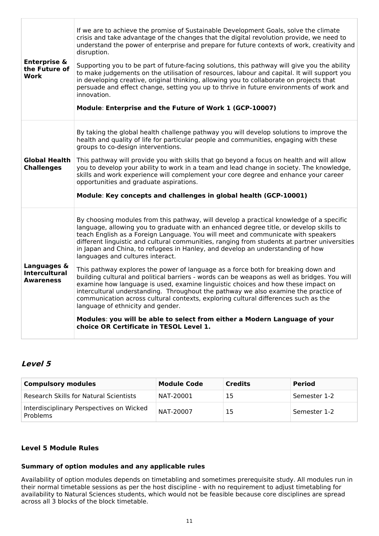| <b>Enterprise &amp;</b><br>the Future of<br>Work        | If we are to achieve the promise of Sustainable Development Goals, solve the climate<br>crisis and take advantage of the changes that the digital revolution provide, we need to<br>understand the power of enterprise and prepare for future contexts of work, creativity and<br>disruption.<br>Supporting you to be part of future-facing solutions, this pathway will give you the ability<br>to make judgements on the utilisation of resources, labour and capital. It will support you<br>in developing creative, original thinking, allowing you to collaborate on projects that<br>persuade and effect change, setting you up to thrive in future environments of work and<br>innovation.<br>Module: Enterprise and the Future of Work 1 (GCP-10007)                                                                                                                                                                                                                                                                                                                                                   |
|---------------------------------------------------------|----------------------------------------------------------------------------------------------------------------------------------------------------------------------------------------------------------------------------------------------------------------------------------------------------------------------------------------------------------------------------------------------------------------------------------------------------------------------------------------------------------------------------------------------------------------------------------------------------------------------------------------------------------------------------------------------------------------------------------------------------------------------------------------------------------------------------------------------------------------------------------------------------------------------------------------------------------------------------------------------------------------------------------------------------------------------------------------------------------------|
| <b>Global Health</b><br><b>Challenges</b>               | By taking the global health challenge pathway you will develop solutions to improve the<br>health and quality of life for particular people and communities, engaging with these<br>groups to co-design interventions.<br>This pathway will provide you with skills that go beyond a focus on health and will allow<br>you to develop your ability to work in a team and lead change in society. The knowledge,<br>skills and work experience will complement your core degree and enhance your career<br>opportunities and graduate aspirations.<br>Module: Key concepts and challenges in global health (GCP-10001)                                                                                                                                                                                                                                                                                                                                                                                                                                                                                          |
| Languages &<br><b>Intercultural</b><br><b>Awareness</b> | By choosing modules from this pathway, will develop a practical knowledge of a specific<br>language, allowing you to graduate with an enhanced degree title, or develop skills to<br>teach English as a Foreign Language. You will meet and communicate with speakers<br>different linguistic and cultural communities, ranging from students at partner universities<br>in Japan and China, to refugees in Hanley, and develop an understanding of how<br>languages and cultures interact.<br>This pathway explores the power of language as a force both for breaking down and<br>building cultural and political barriers - words can be weapons as well as bridges. You will<br>examine how language is used, examine linguistic choices and how these impact on<br>intercultural understanding. Throughout the pathway we also examine the practice of<br>communication across cultural contexts, exploring cultural differences such as the<br>language of ethnicity and gender.<br>Modules: you will be able to select from either a Modern Language of your<br>choice OR Certificate in TESOL Level 1. |

## **Level 5**

| <b>Compulsory modules</b>                            | <b>Module Code</b> | <b>Credits</b> | <b>Period</b> |
|------------------------------------------------------|--------------------|----------------|---------------|
| <b>Research Skills for Natural Scientists</b>        | NAT-20001          | 15             | Semester 1-2  |
| Interdisciplinary Perspectives on Wicked<br>Problems | NAT-20007          | 15             | Semester 1-2  |

## **Level 5 Module Rules**

## **Summary of option modules and any applicable rules**

Availability of option modules depends on timetabling and sometimes prerequisite study. All modules run in their normal timetable sessions as per the host discipline - with no requirement to adjust timetabling for availability to Natural Sciences students, which would not be feasible because core disciplines are spread across all 3 blocks of the block timetable.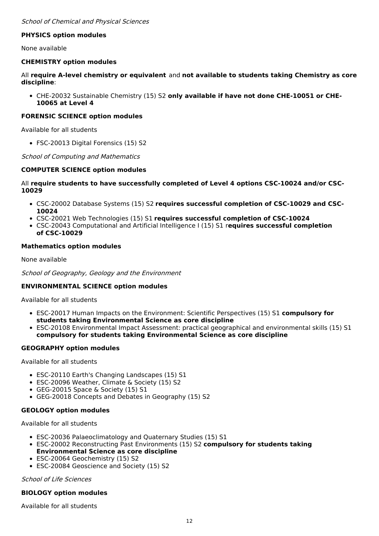### **PHYSICS option modules**

None available

#### **CHEMISTRY option modules**

All **require A-level chemistry or equivalent** and **not available to students taking Chemistry as core discipline**:

CHE-20032 Sustainable Chemistry (15) S2 **only available if have not done CHE-10051 or CHE-10065 at Level 4**

### **FORENSIC SCIENCE option modules**

Available for all students

FSC-20013 Digital Forensics (15) S2

#### School of Computing and Mathematics

#### **COMPUTER SCIENCE option modules**

#### All **require students to have successfully completed of Level 4 options CSC-10024 and/or CSC-10029**

- CSC-20002 Database Systems (15) S2 **requires successful completion of CSC-10029 and CSC-10024**
- CSC-20021 Web Technologies (15) S1 **requires successful completion of CSC-10024**
- CSC-20043 Computational and Artificial Intelligence I (15) S1 r**equires successful completion of CSC-10029**

#### **Mathematics option modules**

None available

School of Geography, Geology and the Environment

#### **ENVIRONMENTAL SCIENCE option modules**

Available for all students

- ESC-20017 Human Impacts on the Environment: Scientific Perspectives (15) S1 **compulsory for students taking Environmental Science as core discipline**
- ESC-20108 Environmental Impact Assessment: practical geographical and environmental skills (15) S1 **compulsory for students taking Environmental Science as core discipline**

#### **GEOGRAPHY option modules**

Available for all students

- ESC-20110 Earth's Changing Landscapes (15) S1
- ESC-20096 Weather, Climate & Society (15) S2
- GEG-20015 Space & Society (15) S1
- GEG-20018 Concepts and Debates in Geography (15) S2

#### **GEOLOGY option modules**

Available for all students

- ESC-20036 Palaeoclimatology and Quaternary Studies (15) S1
- ESC-20002 Reconstructing Past Environments (15) S2 **compulsory for students taking Environmental Science as core discipline**
- ESC-20064 Geochemistry (15) S2
- ESC-20084 Geoscience and Society (15) S2

#### School of Life Sciences

#### **BIOLOGY option modules**

Available for all students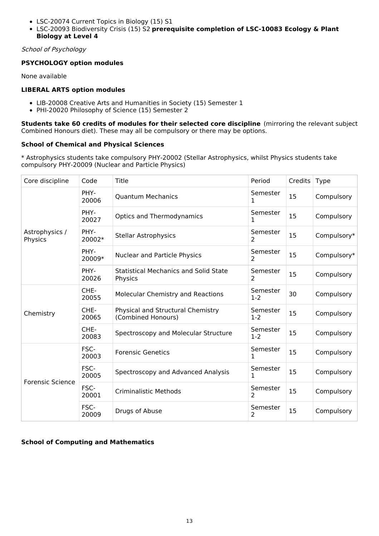- LSC-20074 Current Topics in Biology (15) S1
- LSC-20093 Biodiversity Crisis (15) S2 **prerequisite completion of LSC-10083 Ecology & Plant Biology at Level 4**

School of Psychology

## **PSYCHOLOGY option modules**

None available

## **LIBERAL ARTS option modules**

- LIB-20008 Creative Arts and Humanities in Society (15) Semester 1
- PHI-20020 Philosophy of Science (15) Semester 2

**Students take 60 credits of modules for their selected core discipline** (mirroring the relevant subject Combined Honours diet). These may all be compulsory or there may be options.

### **School of Chemical and Physical Sciences**

\* Astrophysics students take compulsory PHY-20002 (Stellar Astrophysics, whilst Physics students take compulsory PHY-20009 (Nuclear and Particle Physics)

| Core discipline           | Code           | Title                                                   | Period                     | Credits | <b>Type</b> |
|---------------------------|----------------|---------------------------------------------------------|----------------------------|---------|-------------|
|                           | PHY-<br>20006  | <b>Quantum Mechanics</b>                                | Semester<br>1              | 15      | Compulsory  |
|                           | PHY-<br>20027  | <b>Optics and Thermodynamics</b>                        | Semester<br>1              | 15      | Compulsory  |
| Astrophysics /<br>Physics | PHY-<br>20002* | <b>Stellar Astrophysics</b>                             | Semester<br>$\overline{2}$ | 15      | Compulsory* |
|                           | PHY-<br>20009* | <b>Nuclear and Particle Physics</b>                     | Semester<br>$\overline{2}$ | 15      | Compulsory* |
|                           | PHY-<br>20026  | <b>Statistical Mechanics and Solid State</b><br>Physics | Semester<br>2              | 15      | Compulsory  |
|                           | CHE-<br>20055  | Molecular Chemistry and Reactions                       | Semester<br>$1 - 2$        | 30      | Compulsory  |
| Chemistry                 | CHE-<br>20065  | Physical and Structural Chemistry<br>(Combined Honours) | Semester<br>$1 - 2$        | 15      | Compulsory  |
|                           | CHE-<br>20083  | Spectroscopy and Molecular Structure                    | Semester<br>$1-2$          | 15      | Compulsory  |
|                           | FSC-<br>20003  | <b>Forensic Genetics</b>                                | Semester<br>1              | 15      | Compulsory  |
| <b>Forensic Science</b>   | FSC-<br>20005  | Spectroscopy and Advanced Analysis                      | Semester<br>1              | 15      | Compulsory  |
|                           | FSC-<br>20001  | <b>Criminalistic Methods</b>                            | Semester<br>$\overline{2}$ | 15      | Compulsory  |
|                           | FSC-<br>20009  | Drugs of Abuse                                          | Semester<br>2              | 15      | Compulsory  |

## **School of Computing and Mathematics**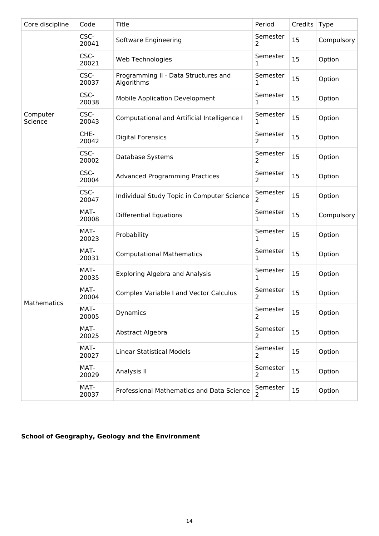| Core discipline     | Code          | <b>Title</b>                                       | Period                     | Credits | <b>Type</b> |
|---------------------|---------------|----------------------------------------------------|----------------------------|---------|-------------|
|                     | CSC-<br>20041 | Software Engineering                               | Semester<br>$\overline{2}$ | 15      | Compulsory  |
|                     | CSC-<br>20021 | Web Technologies                                   | Semester<br>1              | 15      | Option      |
|                     | CSC-<br>20037 | Programming II - Data Structures and<br>Algorithms | Semester<br>1              | 15      | Option      |
|                     | CSC-<br>20038 | <b>Mobile Application Development</b>              | Semester<br>1              | 15      | Option      |
| Computer<br>Science | CSC-<br>20043 | Computational and Artificial Intelligence I        | Semester<br>1              | 15      | Option      |
|                     | CHE-<br>20042 | <b>Digital Forensics</b>                           | Semester<br>2              | 15      | Option      |
|                     | CSC-<br>20002 | Database Systems                                   | Semester<br>2              | 15      | Option      |
|                     | CSC-<br>20004 | <b>Advanced Programming Practices</b>              | Semester<br>$\overline{2}$ | 15      | Option      |
|                     | CSC-<br>20047 | Individual Study Topic in Computer Science         | Semester<br>$\overline{2}$ | 15      | Option      |
|                     | MAT-<br>20008 | <b>Differential Equations</b>                      | Semester<br>1              | 15      | Compulsory  |
|                     | MAT-<br>20023 | Probability                                        | Semester<br>1              | 15      | Option      |
|                     | MAT-<br>20031 | <b>Computational Mathematics</b>                   | Semester<br>1              | 15      | Option      |
|                     | MAT-<br>20035 | <b>Exploring Algebra and Analysis</b>              | Semester<br>1              | 15      | Option      |
|                     | MAT-<br>20004 | <b>Complex Variable I and Vector Calculus</b>      | Semester<br>2              | 15      | Option      |
| Mathematics         | MAT-<br>20005 | Dynamics                                           | Semester<br>2              | 15      | Option      |
|                     | MAT-<br>20025 | Abstract Algebra                                   | Semester<br>2              | 15      | Option      |
|                     | MAT-<br>20027 | <b>Linear Statistical Models</b>                   | Semester<br>2              | 15      | Option      |
|                     | MAT-<br>20029 | Analysis II                                        | Semester<br>2              | 15      | Option      |
|                     | MAT-<br>20037 | Professional Mathematics and Data Science          | Semester<br>$\overline{2}$ | 15      | Option      |

# **School of Geography, Geology and the Environment**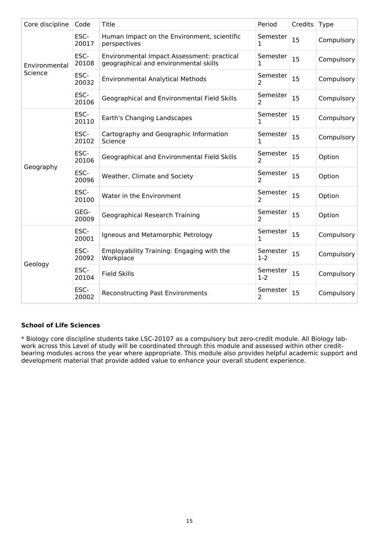| Core discipline | Code          | Title                                                                               | Period                     | Credits | <b>Type</b> |
|-----------------|---------------|-------------------------------------------------------------------------------------|----------------------------|---------|-------------|
|                 | ESC-<br>20017 | Human Impact on the Environment, scientific<br>perspectives                         | Semester<br>1              | 15      | Compulsory  |
| Environmental   | ESC-<br>20108 | Environmental Impact Assessment: practical<br>geographical and environmental skills | Semester<br>1              | 15      | Compulsory  |
| Science         | ESC-<br>20032 | <b>Environmental Analytical Methods</b>                                             | Semester<br>2              | 15      | Compulsory  |
|                 | ESC-<br>20106 | Geographical and Environmental Field Skills                                         | Semester<br>2              | 15      | Compulsory  |
|                 | ESC-<br>20110 | Earth's Changing Landscapes                                                         | Semester<br>1              | 15      | Compulsory  |
|                 | ESC-<br>20102 | Cartography and Geographic Information<br>Science                                   | Semester<br>1              | 15      | Compulsory  |
|                 | ESC-<br>20106 | Geographical and Environmental Field Skills                                         | Semester<br>2              | 15      | Option      |
| Geography       | ESC-<br>20096 | Weather, Climate and Society                                                        | Semester<br>2              | 15      | Option      |
|                 | ESC-<br>20100 | Water in the Environment                                                            | Semester<br>2              | 15      | Option      |
|                 | GEG-<br>20009 | <b>Geographical Research Training</b>                                               | Semester<br>2              | 15      | Option      |
|                 | ESC-<br>20001 | Igneous and Metamorphic Petrology                                                   | Semester<br>1              | 15      | Compulsory  |
| Geology         | ESC-<br>20092 | Employability Training: Engaging with the<br>Workplace                              | Semester<br>$1-2$          | 15      | Compulsory  |
|                 | ESC-<br>20104 | <b>Field Skills</b>                                                                 | Semester<br>$1-2$          | 15      | Compulsory  |
|                 | ESC-<br>20002 | <b>Reconstructing Past Environments</b>                                             | Semester<br>$\overline{2}$ | 15      | Compulsory  |

## **School of Life Sciences**

\* Biology core discipline students take LSC-20107 as a compulsory but zero-credit module. All Biology labwork across this Level of study will be coordinated through this module and assessed within other creditbearing modules across the year where appropriate. This module also provides helpful academic support and development material that provide added value to enhance your overall student experience.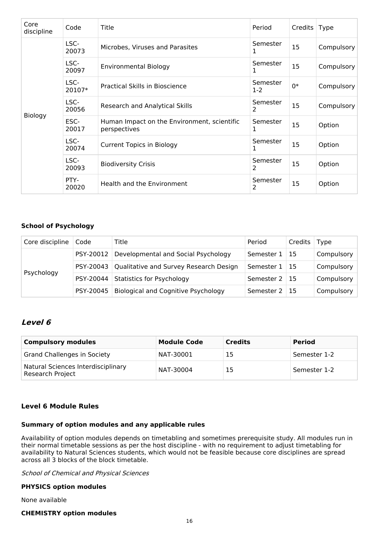| Core<br>discipline | Code                           | Title                                                       | Period        | Credits   Type |            |
|--------------------|--------------------------------|-------------------------------------------------------------|---------------|----------------|------------|
|                    | LSC-<br>20073                  | Microbes, Viruses and Parasites                             | Semester<br>1 | 15             | Compulsory |
|                    | LSC-<br>20097                  | <b>Environmental Biology</b>                                | Semester<br>1 | 15             | Compulsory |
| LSC-<br>20107*     | Practical Skills in Bioscience | Semester<br>$1-2$                                           | $0*$          | Compulsory     |            |
|                    | LSC-<br>20056                  | Research and Analytical Skills                              | Semester<br>2 | 15             | Compulsory |
| Biology            | ESC-<br>20017                  | Human Impact on the Environment, scientific<br>perspectives | Semester<br>1 | 15             | Option     |
|                    | LSC-<br>20074                  | <b>Current Topics in Biology</b>                            | Semester<br>1 | 15             | Option     |
|                    | LSC-<br>20093                  | <b>Biodiversity Crisis</b>                                  | Semester<br>2 | 15             | Option     |
|                    | PTY-<br>20020                  | Health and the Environment                                  | Semester<br>2 | 15             | Option     |

### **School of Psychology**

| Core discipline | Code      | Title                                      | Period               | Credits   Type |            |
|-----------------|-----------|--------------------------------------------|----------------------|----------------|------------|
|                 | PSY-20012 | Developmental and Social Psychology        | Semester $1 \mid 15$ |                | Compulsory |
|                 | PSY-20043 | Qualitative and Survey Research Design     | Semester $1 \mid 15$ |                | Compulsory |
| Psychology      | PSY-20044 | <b>Statistics for Psychology</b>           | Semester $2 \mid 15$ |                | Compulsory |
|                 | PSY-20045 | <b>Biological and Cognitive Psychology</b> | Semester 2           | 115            | Compulsory |

## **Level 6**

| <b>Compulsory modules</b>                                     | <b>Module Code</b> | <b>Credits</b> | <b>Period</b> |
|---------------------------------------------------------------|--------------------|----------------|---------------|
| Grand Challenges in Society                                   | NAT-30001          | 15             | Semester 1-2  |
| Natural Sciences Interdisciplinary<br><b>Research Project</b> | NAT-30004          | 15             | Semester 1-2  |

## **Level 6 Module Rules**

## **Summary of option modules and any applicable rules**

Availability of option modules depends on timetabling and sometimes prerequisite study. All modules run in their normal timetable sessions as per the host discipline - with no requirement to adjust timetabling for availability to Natural Sciences students, which would not be feasible because core disciplines are spread across all 3 blocks of the block timetable.

School of Chemical and Physical Sciences

#### **PHYSICS option modules**

None available

### **CHEMISTRY option modules**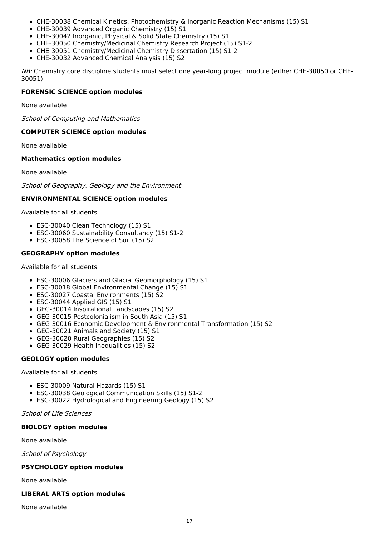- CHE-30038 Chemical Kinetics, Photochemistry & Inorganic Reaction Mechanisms (15) S1
- CHE-30039 Advanced Organic Chemistry (15) S1
- CHE-30042 Inorganic, Physical & Solid State Chemistry (15) S1
- CHE-30050 Chemistry/Medicinal Chemistry Research Project (15) S1-2
- CHE-30051 Chemistry/Medicinal Chemistry Dissertation (15) S1-2
- CHE-30032 Advanced Chemical Analysis (15) S2

NB: Chemistry core discipline students must select one year-long project module (either CHE-30050 or CHE-30051)

#### **FORENSIC SCIENCE option modules**

None available

School of Computing and Mathematics

#### **COMPUTER SCIENCE option modules**

None available

#### **Mathematics option modules**

None available

School of Geography, Geology and the Environment

#### **ENVIRONMENTAL SCIENCE option modules**

Available for all students

- ESC-30040 Clean Technology (15) S1
- ESC-30060 Sustainability Consultancy (15) S1-2
- ESC-30058 The Science of Soil (15) S2

#### **GEOGRAPHY option modules**

#### Available for all students

- ESC-30006 Glaciers and Glacial Geomorphology (15) S1
- ESC-30018 Global Environmental Change (15) S1
- ESC-30027 Coastal Environments (15) S2
- ESC-30044 Applied GIS (15) S1
- GEG-30014 Inspirational Landscapes (15) S2
- GEG-30015 Postcolonialism in South Asia (15) S1
- GEG-30016 Economic Development & Environmental Transformation (15) S2
- GEG-30021 Animals and Society (15) S1
- GEG-30020 Rural Geographies (15) S2
- GEG-30029 Health Inequalities (15) S2

#### **GEOLOGY option modules**

Available for all students

- ESC-30009 Natural Hazards (15) S1
- ESC-30038 Geological Communication Skills (15) S1-2
- ESC-30022 Hydrological and Engineering Geology (15) S2

School of Life Sciences

#### **BIOLOGY option modules**

None available

School of Psychology

#### **PSYCHOLOGY option modules**

None available

#### **LIBERAL ARTS option modules**

None available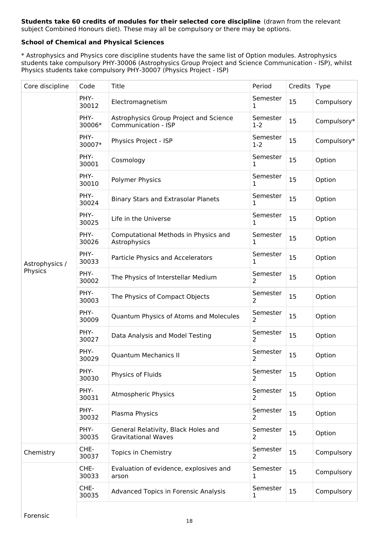#### **Students take 60 credits of modules for their selected core discipline** (drawn from the relevant subject Combined Honours diet). These may all be compulsory or there may be options.

## **School of Chemical and Physical Sciences**

\* Astrophysics and Physics core discipline students have the same list of Option modules. Astrophysics students take compulsory PHY-30006 (Astrophysics Group Project and Science Communication - ISP), whilst Physics students take compulsory PHY-30007 (Physics Project - ISP)

| Core discipline | Code           | <b>Title</b>                                                      | Period                     | Credits | Type        |
|-----------------|----------------|-------------------------------------------------------------------|----------------------------|---------|-------------|
|                 | PHY-<br>30012  | Electromagnetism                                                  | Semester<br>1              | 15      | Compulsory  |
|                 | PHY-<br>30006* | Astrophysics Group Project and Science<br>Communication - ISP     | Semester<br>$1-2$          | 15      | Compulsory* |
|                 | PHY-<br>30007* | Physics Project - ISP                                             | Semester<br>$1 - 2$        | 15      | Compulsory* |
|                 | PHY-<br>30001  | Cosmology                                                         | Semester<br>1              | 15      | Option      |
|                 | PHY-<br>30010  | <b>Polymer Physics</b>                                            | Semester<br>1              | 15      | Option      |
|                 | PHY-<br>30024  | <b>Binary Stars and Extrasolar Planets</b>                        | Semester<br>1              | 15      | Option      |
|                 | PHY-<br>30025  | Life in the Universe                                              | Semester<br>1              | 15      | Option      |
|                 | PHY-<br>30026  | Computational Methods in Physics and<br>Astrophysics              | Semester<br>1              | 15      | Option      |
| Astrophysics /  | PHY-<br>30033  | Particle Physics and Accelerators                                 | Semester<br>1              | 15      | Option      |
| Physics         | PHY-<br>30002  | The Physics of Interstellar Medium                                | Semester<br>2              | 15      | Option      |
|                 | PHY-<br>30003  | The Physics of Compact Objects                                    | Semester<br>2              | 15      | Option      |
|                 | PHY-<br>30009  | Quantum Physics of Atoms and Molecules                            | Semester<br>2              | 15      | Option      |
|                 | PHY-<br>30027  | Data Analysis and Model Testing                                   | Semester<br>2              | 15      | Option      |
|                 | PHY-<br>30029  | <b>Quantum Mechanics II</b>                                       | Semester<br>2              | 15      | Option      |
|                 | PHY-<br>30030  | Physics of Fluids                                                 | Semester<br>2              | 15      | Option      |
|                 | PHY-<br>30031  | <b>Atmospheric Physics</b>                                        | Semester<br>2              | 15      | Option      |
|                 | PHY-<br>30032  | Plasma Physics                                                    | Semester<br>$\overline{2}$ | 15      | Option      |
|                 | PHY-<br>30035  | General Relativity, Black Holes and<br><b>Gravitational Waves</b> | Semester<br>2              | 15      | Option      |
| Chemistry       | CHE-<br>30037  | Topics in Chemistry                                               | Semester<br>2              | 15      | Compulsory  |
|                 | CHE-<br>30033  | Evaluation of evidence, explosives and<br>arson                   | Semester<br>1              | 15      | Compulsory  |
|                 | CHE-<br>30035  | Advanced Topics in Forensic Analysis                              | Semester<br>1              | 15      | Compulsory  |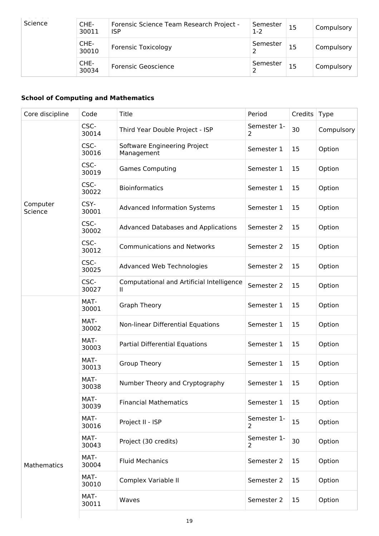| Science | CHE-<br>30011 | Forensic Science Team Research Project -<br><b>ISP</b> | Semester<br>$1-2$ | 15 | Compulsory |
|---------|---------------|--------------------------------------------------------|-------------------|----|------------|
|         | CHE-<br>30010 | <b>Forensic Toxicology</b>                             | Semester          | 15 | Compulsory |
|         | CHE-<br>30034 | Forensic Geoscience                                    | Semester          | 15 | Compulsory |

## **School of Computing and Mathematics**

| Core discipline     | Code          | Title                                          | Period                        | Credits | Type       |
|---------------------|---------------|------------------------------------------------|-------------------------------|---------|------------|
|                     | CSC-<br>30014 | Third Year Double Project - ISP                | Semester 1-<br>2              | 30      | Compulsory |
|                     | CSC-<br>30016 | Software Engineering Project<br>Management     | Semester 1                    | 15      | Option     |
|                     | CSC-<br>30019 | <b>Games Computing</b>                         | Semester 1                    | 15      | Option     |
|                     | CSC-<br>30022 | <b>Bioinformatics</b>                          | Semester 1                    | 15      | Option     |
| Computer<br>Science | CSY-<br>30001 | <b>Advanced Information Systems</b>            | Semester 1                    | 15      | Option     |
|                     | CSC-<br>30002 | <b>Advanced Databases and Applications</b>     | Semester 2                    | 15      | Option     |
|                     | CSC-<br>30012 | <b>Communications and Networks</b>             | Semester 2                    | 15      | Option     |
|                     | CSC-<br>30025 | Advanced Web Technologies                      | Semester 2                    | 15      | Option     |
|                     | CSC-<br>30027 | Computational and Artificial Intelligence<br>Ш | Semester 2                    | 15      | Option     |
|                     | MAT-<br>30001 | <b>Graph Theory</b>                            | Semester 1                    | 15      | Option     |
|                     | MAT-<br>30002 | Non-linear Differential Equations              | Semester 1                    | 15      | Option     |
|                     | MAT-<br>30003 | Partial Differential Equations                 | Semester 1                    | 15      | Option     |
|                     | MAT-<br>30013 | <b>Group Theory</b>                            | Semester 1                    | 15      | Option     |
|                     | MAT-<br>30038 | Number Theory and Cryptography                 | Semester 1                    | 15      | Option     |
|                     | MAT-<br>30039 | <b>Financial Mathematics</b>                   | Semester 1                    | 15      | Option     |
|                     | MAT-<br>30016 | Project II - ISP                               | Semester 1-<br>2              | 15      | Option     |
|                     | MAT-<br>30043 | Project (30 credits)                           | Semester 1-<br>$\overline{2}$ | 30      | Option     |
| Mathematics         | MAT-<br>30004 | <b>Fluid Mechanics</b>                         | Semester 2                    | 15      | Option     |
|                     | MAT-<br>30010 | Complex Variable II                            | Semester 2                    | 15      | Option     |
|                     | MAT-<br>30011 | Waves                                          | Semester 2                    | 15      | Option     |
|                     |               |                                                |                               |         |            |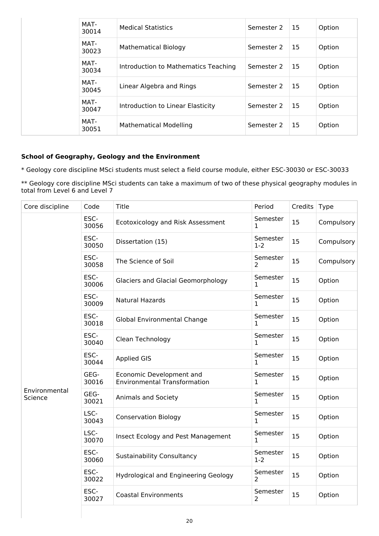|  | MAT-<br>30014 | <b>Medical Statistics</b>            | Semester 2 | 15            | Option |
|--|---------------|--------------------------------------|------------|---------------|--------|
|  | MAT-<br>30023 | <b>Mathematical Biology</b>          | Semester 2 | <b>15</b>     | Option |
|  | MAT-<br>30034 | Introduction to Mathematics Teaching | Semester 2 | 15            | Option |
|  | MAT-<br>30045 | Linear Algebra and Rings             | Semester 2 | <sup>15</sup> | Option |
|  | MAT-<br>30047 | Introduction to Linear Elasticity    | Semester 2 | 15            | Option |
|  | MAT-<br>30051 | <b>Mathematical Modelling</b>        | Semester 2 | 15            | Option |

## **School of Geography, Geology and the Environment**

\* Geology core discipline MSci students must select a field course module, either ESC-30030 or ESC-30033

\*\* Geology core discipline MSci students can take a maximum of two of these physical geography modules in total from Level 6 and Level 7

| Core discipline          | Code          | Title                                                           | Period                     | Credits | <b>Type</b> |
|--------------------------|---------------|-----------------------------------------------------------------|----------------------------|---------|-------------|
|                          | ESC-<br>30056 | Ecotoxicology and Risk Assessment                               | Semester<br>1              | 15      | Compulsory  |
|                          | ESC-<br>30050 | Dissertation (15)                                               | Semester<br>$1-2$          | 15      | Compulsory  |
|                          | ESC-<br>30058 | The Science of Soil                                             | Semester<br>$\overline{2}$ | 15      | Compulsory  |
|                          | ESC-<br>30006 | Glaciers and Glacial Geomorphology                              | Semester<br>$\mathbf{1}$   | 15      | Option      |
|                          | ESC-<br>30009 | <b>Natural Hazards</b>                                          | Semester<br>1              | 15      | Option      |
|                          | ESC-<br>30018 | <b>Global Environmental Change</b>                              | Semester<br>1              | 15      | Option      |
|                          | ESC-<br>30040 | Clean Technology                                                | Semester<br>1              | 15      | Option      |
|                          | ESC-<br>30044 | <b>Applied GIS</b>                                              | Semester<br>$\mathbf 1$    | 15      | Option      |
|                          | GEG-<br>30016 | Economic Development and<br><b>Environmental Transformation</b> | Semester<br>1              | 15      | Option      |
| Environmental<br>Science | GEG-<br>30021 | Animals and Society                                             | Semester<br>1              | 15      | Option      |
|                          | LSC-<br>30043 | <b>Conservation Biology</b>                                     | Semester<br>1              | 15      | Option      |
|                          | LSC-<br>30070 | Insect Ecology and Pest Management                              | Semester<br>$\mathbf{1}$   | 15      | Option      |
|                          | ESC-<br>30060 | <b>Sustainability Consultancy</b>                               | Semester<br>$1-2$          | 15      | Option      |
|                          | ESC-<br>30022 | <b>Hydrological and Engineering Geology</b>                     | Semester<br>$\overline{2}$ | 15      | Option      |
|                          | ESC-<br>30027 | <b>Coastal Environments</b>                                     | Semester<br>2              | 15      | Option      |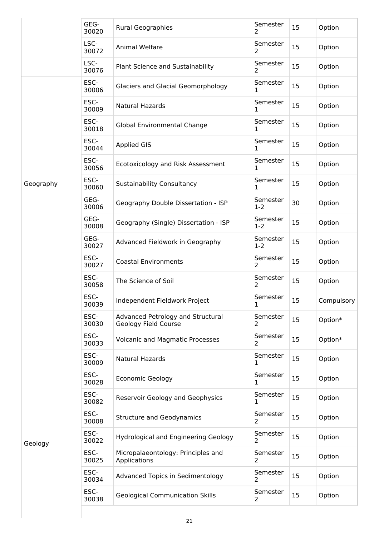|           | GEG-<br>30020 | <b>Rural Geographies</b>                                  | Semester<br>2            | 15 | Option     |
|-----------|---------------|-----------------------------------------------------------|--------------------------|----|------------|
|           | LSC-<br>30072 | Animal Welfare                                            | Semester<br>2            | 15 | Option     |
|           | LSC-<br>30076 | Plant Science and Sustainability                          | Semester<br>2            | 15 | Option     |
|           | ESC-<br>30006 | Glaciers and Glacial Geomorphology                        | Semester<br>1            | 15 | Option     |
|           | ESC-<br>30009 | <b>Natural Hazards</b>                                    | Semester<br>$\mathbf{1}$ | 15 | Option     |
|           | ESC-<br>30018 | <b>Global Environmental Change</b>                        | Semester<br>$\mathbf{1}$ | 15 | Option     |
|           | ESC-<br>30044 | <b>Applied GIS</b>                                        | Semester<br>1            | 15 | Option     |
|           | ESC-<br>30056 | Ecotoxicology and Risk Assessment                         | Semester<br>1            | 15 | Option     |
| Geography | ESC-<br>30060 | <b>Sustainability Consultancy</b>                         | Semester<br>1            | 15 | Option     |
|           | GEG-<br>30006 | Geography Double Dissertation - ISP                       | Semester<br>$1-2$        | 30 | Option     |
|           | GEG-<br>30008 | Geography (Single) Dissertation - ISP                     | Semester<br>$1-2$        | 15 | Option     |
|           | GEG-<br>30027 | Advanced Fieldwork in Geography                           | Semester<br>$1 - 2$      | 15 | Option     |
|           | ESC-<br>30027 | <b>Coastal Environments</b>                               | Semester<br>2            | 15 | Option     |
|           | ESC-<br>30058 | The Science of Soil                                       | Semester<br>2            | 15 | Option     |
|           | ESC-<br>30039 | Independent Fieldwork Project                             | Semester<br>$\mathbf{1}$ | 15 | Compulsory |
|           | ESC-<br>30030 | Advanced Petrology and Structural<br>Geology Field Course | Semester<br>2            | 15 | Option*    |
|           | ESC-<br>30033 | <b>Volcanic and Magmatic Processes</b>                    | Semester<br>2            | 15 | Option*    |
|           | ESC-<br>30009 | Natural Hazards                                           | Semester<br>1            | 15 | Option     |
|           | ESC-<br>30028 | <b>Economic Geology</b>                                   | Semester<br>1            | 15 | Option     |
|           | ESC-<br>30082 | Reservoir Geology and Geophysics                          | Semester<br>1            | 15 | Option     |
| Geology   | ESC-<br>30008 | <b>Structure and Geodynamics</b>                          | Semester<br>2            | 15 | Option     |
|           | ESC-<br>30022 | <b>Hydrological and Engineering Geology</b>               | Semester<br>2            | 15 | Option     |
|           | ESC-<br>30025 | Micropalaeontology: Principles and<br>Applications        | Semester<br>2            | 15 | Option     |
|           | ESC-<br>30034 | <b>Advanced Topics in Sedimentology</b>                   | Semester<br>2            | 15 | Option     |
|           | ESC-<br>30038 | <b>Geological Communication Skills</b>                    | Semester<br>2            | 15 | Option     |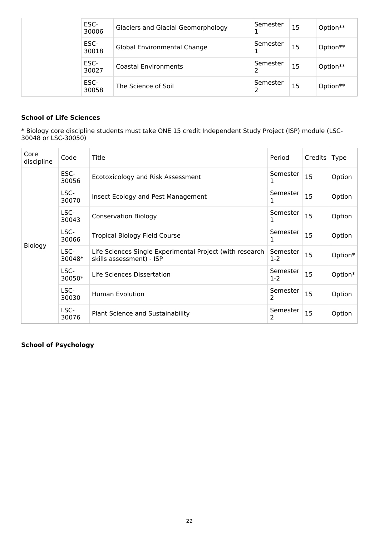| ESC-<br>30006 | <b>Glaciers and Glacial Geomorphology</b> | Semester<br>1 | 15 | Option** |
|---------------|-------------------------------------------|---------------|----|----------|
| ESC-<br>30018 | <b>Global Environmental Change</b>        | Semester<br>ı | 15 | Option** |
| ESC-<br>30027 | <b>Coastal Environments</b>               | Semester      | 15 | Option** |
| ESC-<br>30058 | The Science of Soil                       | Semester      | 15 | Option** |

## **School of Life Sciences**

\* Biology core discipline students must take ONE 15 credit Independent Study Project (ISP) module (LSC-30048 or LSC-30050)

| Core<br>discipline | Code           | Title                                                                                | Period            | Credits | <b>Type</b> |
|--------------------|----------------|--------------------------------------------------------------------------------------|-------------------|---------|-------------|
| Biology            | ESC-<br>30056  | Ecotoxicology and Risk Assessment                                                    | Semester<br>1     | 15      | Option      |
|                    | LSC-<br>30070  | Insect Ecology and Pest Management                                                   | Semester<br>1     | 15      | Option      |
|                    | LSC-<br>30043  | <b>Conservation Biology</b>                                                          | Semester          | 15      | Option      |
|                    | LSC-<br>30066  | <b>Tropical Biology Field Course</b>                                                 | Semester<br>1     | 15      | Option      |
|                    | LSC-<br>30048* | Life Sciences Single Experimental Project (with research<br>skills assessment) - ISP | Semester<br>$1-2$ | 15      | Option*     |
|                    | LSC-<br>30050* | Life Sciences Dissertation                                                           | Semester<br>$1-2$ | 15      | Option*     |
|                    | LSC-<br>30030  | Human Evolution                                                                      | Semester<br>2     | 15      | Option      |
|                    | LSC-<br>30076  | <b>Plant Science and Sustainability</b>                                              | Semester<br>2     | 15      | Option      |

## **School of Psychology**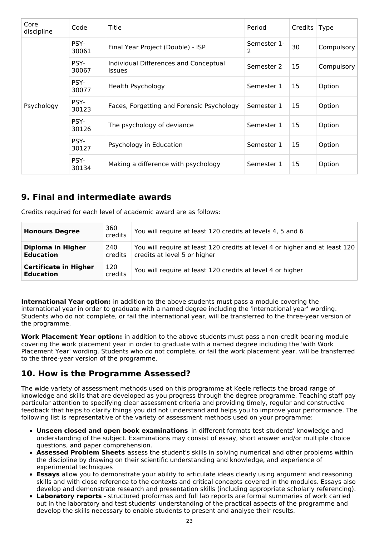| Core<br>discipline | Code          | Title                                                  | Period           | Credits   Type |            |
|--------------------|---------------|--------------------------------------------------------|------------------|----------------|------------|
|                    | PSY-<br>30061 | Final Year Project (Double) - ISP                      | Semester 1-<br>2 | 30             | Compulsory |
|                    | PSY-<br>30067 | Individual Differences and Conceptual<br><b>Issues</b> | Semester 2       | 15             | Compulsory |
|                    | PSY-<br>30077 | Health Psychology                                      | Semester 1       | 15             | Option     |
| Psychology         | PSY-<br>30123 | Faces, Forgetting and Forensic Psychology              | Semester 1       | 15             | Option     |
|                    | PSY-<br>30126 | The psychology of deviance                             | Semester 1       | 15             | Option     |
|                    | PSY-<br>30127 | Psychology in Education                                | Semester 1       | 15             | Option     |
|                    | PSY-<br>30134 | Making a difference with psychology                    | Semester 1       | 15             | Option     |

# **9. Final and intermediate awards**

Credits required for each level of academic award are as follows:

| <b>Honours Degree</b>                            | 360<br>credits | You will require at least 120 credits at levels 4, 5 and 6                                                  |
|--------------------------------------------------|----------------|-------------------------------------------------------------------------------------------------------------|
| Diploma in Higher<br><b>Education</b>            | 240<br>credits | You will require at least 120 credits at level 4 or higher and at least 120<br>credits at level 5 or higher |
| <b>Certificate in Higher</b><br><b>Education</b> | 120<br>credits | You will require at least 120 credits at level 4 or higher                                                  |

**International Year option:** in addition to the above students must pass a module covering the international year in order to graduate with a named degree including the 'international year' wording. Students who do not complete, or fail the international year, will be transferred to the three-year version of the programme.

**Work Placement Year option:** in addition to the above students must pass a non-credit bearing module covering the work placement year in order to graduate with a named degree including the 'with Work Placement Year' wording. Students who do not complete, or fail the work placement year, will be transferred to the three-year version of the programme.

# **10. How is the Programme Assessed?**

The wide variety of assessment methods used on this programme at Keele reflects the broad range of knowledge and skills that are developed as you progress through the degree programme. Teaching staff pay particular attention to specifying clear assessment criteria and providing timely, regular and constructive feedback that helps to clarify things you did not understand and helps you to improve your performance. The following list is representative of the variety of assessment methods used on your programme:

- **Unseen closed and open book examinations** in different formats test students' knowledge and understanding of the subject. Examinations may consist of essay, short answer and/or multiple choice questions, and paper comprehension.
- **Assessed Problem Sheets** assess the student's skills in solving numerical and other problems within the discipline by drawing on their scientific understanding and knowledge, and experience of experimental techniques
- **Essays** allow you to demonstrate your ability to articulate ideas clearly using argument and reasoning skills and with close reference to the contexts and critical concepts covered in the modules. Essays also develop and demonstrate research and presentation skills (including appropriate scholarly referencing).
- **Laboratory reports** structured proformas and full lab reports are formal summaries of work carried out in the laboratory and test students' understanding of the practical aspects of the programme and develop the skills necessary to enable students to present and analyse their results.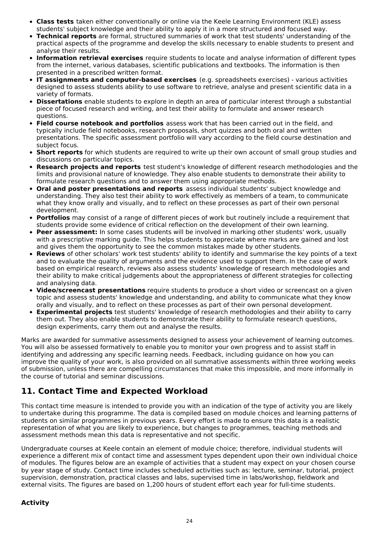- **Class tests** taken either conventionally or online via the Keele Learning Environment (KLE) assess students' subject knowledge and their ability to apply it in a more structured and focused way.
- **Technical reports** are formal, structured summaries of work that test students' understanding of the practical aspects of the programme and develop the skills necessary to enable students to present and analyse their results.
- **Information retrieval exercises** require students to locate and analyse information of different types from the internet, various databases, scientific publications and textbooks. The information is then presented in a prescribed written format.
- **IT assignments and computer-based exercises** (e.g. spreadsheets exercises) various activities designed to assess students ability to use software to retrieve, analyse and present scientific data in a variety of formats.
- **Dissertations** enable students to explore in depth an area of particular interest through a substantial piece of focused research and writing, and test their ability to formulate and answer research questions.
- **Field course notebook and portfolios** assess work that has been carried out in the field, and typically include field notebooks, research proposals, short quizzes and both oral and written presentations. The specific assessment portfolio will vary according to the field course destination and subject focus.
- **Short reports** for which students are required to write up their own account of small group studies and discussions on particular topics.
- **Research projects and reports** test student's knowledge of different research methodologies and the limits and provisional nature of knowledge. They also enable students to demonstrate their ability to formulate research questions and to answer them using appropriate methods.
- **Oral and poster presentations and reports** assess individual students' subject knowledge and  $\bullet$ understanding. They also test their ability to work effectively as members of a team, to communicate what they know orally and visually, and to reflect on these processes as part of their own personal development.
- **Portfolios** may consist of a range of different pieces of work but routinely include a requirement that students provide some evidence of critical reflection on the development of their own learning.
- **Peer assessment:** In some cases students will be involved in marking other students' work, usually with a prescriptive marking guide. This helps students to appreciate where marks are gained and lost and gives them the opportunity to see the common mistakes made by other students.
- **Reviews** of other scholars' work test students' ability to identify and summarise the key points of a text and to evaluate the quality of arguments and the evidence used to support them. In the case of work based on empirical research, reviews also assess students' knowledge of research methodologies and their ability to make critical judgements about the appropriateness of different strategies for collecting and analysing data.
- **Video/screencast presentations** require students to produce a short video or screencast on a given topic and assess students' knowledge and understanding, and ability to communicate what they know orally and visually, and to reflect on these processes as part of their own personal development.
- **Experimental projects** test students' knowledge of research methodologies and their ability to carry them out. They also enable students to demonstrate their ability to formulate research questions, design experiments, carry them out and analyse the results.

Marks are awarded for summative assessments designed to assess your achievement of learning outcomes. You will also be assessed formatively to enable you to monitor your own progress and to assist staff in identifying and addressing any specific learning needs. Feedback, including guidance on how you can improve the quality of your work, is also provided on all summative assessments within three working weeks of submission, unless there are compelling circumstances that make this impossible, and more informally in the course of tutorial and seminar discussions.

# **11. Contact Time and Expected Workload**

This contact time measure is intended to provide you with an indication of the type of activity you are likely to undertake during this programme. The data is compiled based on module choices and learning patterns of students on similar programmes in previous years. Every effort is made to ensure this data is a realistic representation of what you are likely to experience, but changes to programmes, teaching methods and assessment methods mean this data is representative and not specific.

Undergraduate courses at Keele contain an element of module choice; therefore, individual students will experience a different mix of contact time and assessment types dependent upon their own individual choice of modules. The figures below are an example of activities that a student may expect on your chosen course by year stage of study. Contact time includes scheduled activities such as: lecture, seminar, tutorial, project supervision, demonstration, practical classes and labs, supervised time in labs/workshop, fieldwork and external visits. The figures are based on 1,200 hours of student effort each year for full-time students.

## **Activity**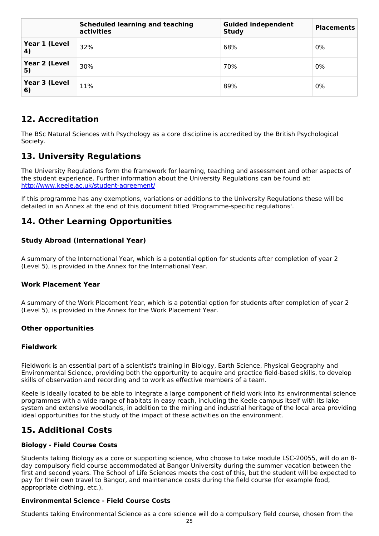|                     | <b>Scheduled learning and teaching</b><br>activities | <b>Guided independent</b><br><b>Study</b> | <b>Placements</b> |
|---------------------|------------------------------------------------------|-------------------------------------------|-------------------|
| Year 1 (Level<br>4) | 32%                                                  | 68%                                       | 0%                |
| Year 2 (Level<br>5) | 30%                                                  | 70%                                       | 0%                |
| Year 3 (Level<br>6) | 11%                                                  | 89%                                       | 0%                |

# **12. Accreditation**

The BSc Natural Sciences with Psychology as a core discipline is accredited by the British Psychological Society.

# **13. University Regulations**

The University Regulations form the framework for learning, teaching and assessment and other aspects of the student experience. Further information about the University Regulations can be found at: <http://www.keele.ac.uk/student-agreement/>

If this programme has any exemptions, variations or additions to the University Regulations these will be detailed in an Annex at the end of this document titled 'Programme-specific regulations'.

## **14. Other Learning Opportunities**

## **Study Abroad (International Year)**

A summary of the International Year, which is a potential option for students after completion of year 2 (Level 5), is provided in the Annex for the International Year.

## **Work Placement Year**

A summary of the Work Placement Year, which is a potential option for students after completion of year 2 (Level 5), is provided in the Annex for the Work Placement Year.

## **Other opportunities**

#### **Fieldwork**

Fieldwork is an essential part of a scientist's training in Biology, Earth Science, Physical Geography and Environmental Science, providing both the opportunity to acquire and practice field-based skills, to develop skills of observation and recording and to work as effective members of a team.

Keele is ideally located to be able to integrate a large component of field work into its environmental science programmes with a wide range of habitats in easy reach, including the Keele campus itself with its lake system and extensive woodlands, in addition to the mining and industrial heritage of the local area providing ideal opportunities for the study of the impact of these activities on the environment.

# **15. Additional Costs**

## **Biology - Field Course Costs**

Students taking Biology as a core or supporting science, who choose to take module LSC-20055, will do an 8 day compulsory field course accommodated at Bangor University during the summer vacation between the first and second years. The School of Life Sciences meets the cost of this, but the student will be expected to pay for their own travel to Bangor, and maintenance costs during the field course (for example food, appropriate clothing, etc.).

## **Environmental Science - Field Course Costs**

Students taking Environmental Science as a core science will do a compulsory field course, chosen from the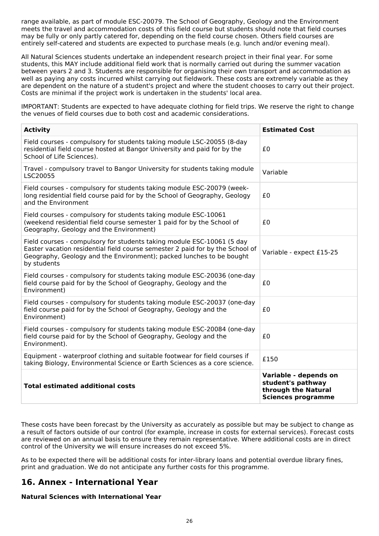range available, as part of module ESC-20079. The School of Geography, Geology and the Environment meets the travel and accommodation costs of this field course but students should note that field courses may be fully or only partly catered for, depending on the field course chosen. Others field courses are entirely self-catered and students are expected to purchase meals (e.g. lunch and/or evening meal).

All Natural Sciences students undertake an independent research project in their final year. For some students, this MAY include additional field work that is normally carried out during the summer vacation between years 2 and 3. Students are responsible for organising their own transport and accommodation as well as paying any costs incurred whilst carrying out fieldwork. These costs are extremely variable as they are dependent on the nature of a student's project and where the student chooses to carry out their project. Costs are minimal if the project work is undertaken in the students' local area.

IMPORTANT: Students are expected to have adequate clothing for field trips. We reserve the right to change the venues of field courses due to both cost and academic considerations.

| <b>Activity</b>                                                                                                                                                                                                                                | <b>Estimated Cost</b>                                                                          |
|------------------------------------------------------------------------------------------------------------------------------------------------------------------------------------------------------------------------------------------------|------------------------------------------------------------------------------------------------|
| Field courses - compulsory for students taking module LSC-20055 (8-day<br>residential field course hosted at Bangor University and paid for by the<br>School of Life Sciences).                                                                | £0                                                                                             |
| Travel - compulsory travel to Bangor University for students taking module<br>LSC20055                                                                                                                                                         | Variable                                                                                       |
| Field courses - compulsory for students taking module ESC-20079 (week-<br>long residential field course paid for by the School of Geography, Geology<br>and the Environment                                                                    | £0                                                                                             |
| Field courses - compulsory for students taking module ESC-10061<br>(weekend residential field course semester 1 paid for by the School of<br>Geography, Geology and the Environment)                                                           | £0                                                                                             |
| Field courses - compulsory for students taking module ESC-10061 (5 day<br>Easter vacation residential field course semester 2 paid for by the School of<br>Geography, Geology and the Environment); packed lunches to be bought<br>by students | Variable - expect £15-25                                                                       |
| Field courses - compulsory for students taking module ESC-20036 (one-day<br>field course paid for by the School of Geography, Geology and the<br>Environment)                                                                                  | £0                                                                                             |
| Field courses - compulsory for students taking module ESC-20037 (one-day<br>field course paid for by the School of Geography, Geology and the<br>Environment)                                                                                  | £0                                                                                             |
| Field courses - compulsory for students taking module ESC-20084 (one-day<br>field course paid for by the School of Geography, Geology and the<br>Environment).                                                                                 | £0                                                                                             |
| Equipment - waterproof clothing and suitable footwear for field courses if<br>taking Biology, Environmental Science or Earth Sciences as a core science.                                                                                       | £150                                                                                           |
| <b>Total estimated additional costs</b>                                                                                                                                                                                                        | Variable - depends on<br>student's pathway<br>through the Natural<br><b>Sciences programme</b> |

These costs have been forecast by the University as accurately as possible but may be subject to change as a result of factors outside of our control (for example, increase in costs for external services). Forecast costs are reviewed on an annual basis to ensure they remain representative. Where additional costs are in direct control of the University we will ensure increases do not exceed 5%.

As to be expected there will be additional costs for inter-library loans and potential overdue library fines, print and graduation. We do not anticipate any further costs for this programme.

# **16. Annex - International Year**

## **Natural Sciences with International Year**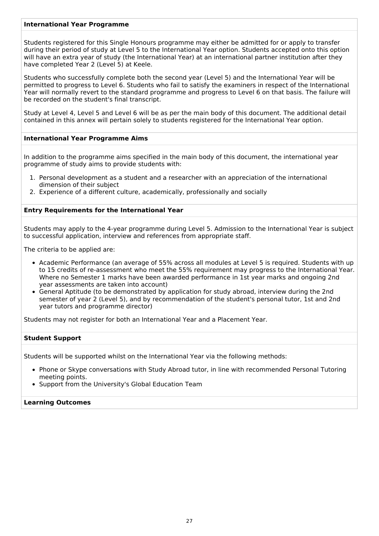#### **International Year Programme**

Students registered for this Single Honours programme may either be admitted for or apply to transfer during their period of study at Level 5 to the International Year option. Students accepted onto this option will have an extra year of study (the International Year) at an international partner institution after they have completed Year 2 (Level 5) at Keele.

Students who successfully complete both the second year (Level 5) and the International Year will be permitted to progress to Level 6. Students who fail to satisfy the examiners in respect of the International Year will normally revert to the standard programme and progress to Level 6 on that basis. The failure will be recorded on the student's final transcript.

Study at Level 4, Level 5 and Level 6 will be as per the main body of this document. The additional detail contained in this annex will pertain solely to students registered for the International Year option.

### **International Year Programme Aims**

In addition to the programme aims specified in the main body of this document, the international year programme of study aims to provide students with:

- 1. Personal development as a student and a researcher with an appreciation of the international dimension of their subject
- 2. Experience of a different culture, academically, professionally and socially

#### **Entry Requirements for the International Year**

Students may apply to the 4-year programme during Level 5. Admission to the International Year is subject to successful application, interview and references from appropriate staff.

The criteria to be applied are:

- Academic Performance (an average of 55% across all modules at Level 5 is required. Students with up to 15 credits of re-assessment who meet the 55% requirement may progress to the International Year. Where no Semester 1 marks have been awarded performance in 1st year marks and ongoing 2nd year assessments are taken into account)
- General Aptitude (to be demonstrated by application for study abroad, interview during the 2nd semester of year 2 (Level 5), and by recommendation of the student's personal tutor, 1st and 2nd year tutors and programme director)

Students may not register for both an International Year and a Placement Year.

#### **Student Support**

Students will be supported whilst on the International Year via the following methods:

- Phone or Skype conversations with Study Abroad tutor, in line with recommended Personal Tutoring meeting points.
- Support from the University's Global Education Team

#### **Learning Outcomes**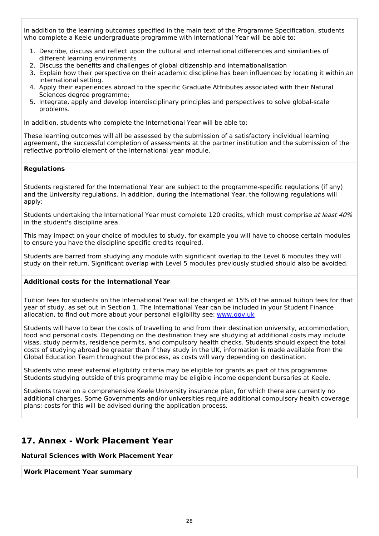In addition to the learning outcomes specified in the main text of the Programme Specification, students who complete a Keele undergraduate programme with International Year will be able to:

- 1. Describe, discuss and reflect upon the cultural and international differences and similarities of different learning environments
- 2. Discuss the benefits and challenges of global citizenship and internationalisation
- 3. Explain how their perspective on their academic discipline has been influenced by locating it within an international setting.
- 4. Apply their experiences abroad to the specific Graduate Attributes associated with their Natural Sciences degree programme;
- 5. Integrate, apply and develop interdisciplinary principles and perspectives to solve global-scale problems.

In addition, students who complete the International Year will be able to:

These learning outcomes will all be assessed by the submission of a satisfactory individual learning agreement, the successful completion of assessments at the partner institution and the submission of the reflective portfolio element of the international year module.

#### **Regulations**

Students registered for the International Year are subject to the programme-specific regulations (if any) and the University regulations. In addition, during the International Year, the following regulations will apply:

Students undertaking the International Year must complete 120 credits, which must comprise at least 40% in the student's discipline area.

This may impact on your choice of modules to study, for example you will have to choose certain modules to ensure you have the discipline specific credits required.

Students are barred from studying any module with significant overlap to the Level 6 modules they will study on their return. Significant overlap with Level 5 modules previously studied should also be avoided.

#### **Additional costs for the International Year**

Tuition fees for students on the International Year will be charged at 15% of the annual tuition fees for that year of study, as set out in Section 1. The International Year can be included in your Student Finance allocation, to find out more about your personal eligibility see: [www.gov.uk](http://www.gov.uk/)

Students will have to bear the costs of travelling to and from their destination university, accommodation, food and personal costs. Depending on the destination they are studying at additional costs may include visas, study permits, residence permits, and compulsory health checks. Students should expect the total costs of studying abroad be greater than if they study in the UK, information is made available from the Global Education Team throughout the process, as costs will vary depending on destination.

Students who meet external eligibility criteria may be eligible for grants as part of this programme. Students studying outside of this programme may be eligible income dependent bursaries at Keele.

Students travel on a comprehensive Keele University insurance plan, for which there are currently no additional charges. Some Governments and/or universities require additional compulsory health coverage plans; costs for this will be advised during the application process.

## **17. Annex - Work Placement Year**

## **Natural Sciences with Work Placement Year**

**Work Placement Year summary**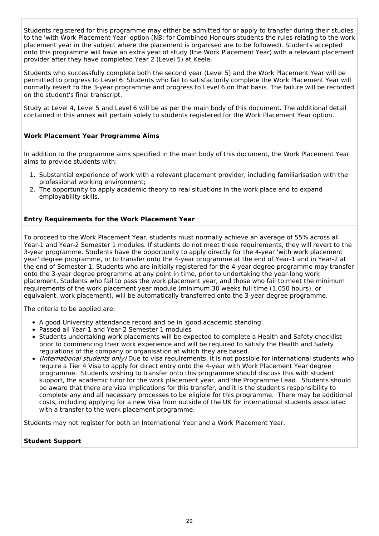Students registered for this programme may either be admitted for or apply to transfer during their studies to the 'with Work Placement Year' option (NB: for Combined Honours students the rules relating to the work placement year in the subject where the placement is organised are to be followed). Students accepted onto this programme will have an extra year of study (the Work Placement Year) with a relevant placement provider after they have completed Year 2 (Level 5) at Keele.

Students who successfully complete both the second year (Level 5) and the Work Placement Year will be permitted to progress to Level 6. Students who fail to satisfactorily complete the Work Placement Year will normally revert to the 3-year programme and progress to Level 6 on that basis. The failure will be recorded on the student's final transcript.

Study at Level 4, Level 5 and Level 6 will be as per the main body of this document. The additional detail contained in this annex will pertain solely to students registered for the Work Placement Year option.

### **Work Placement Year Programme Aims**

In addition to the programme aims specified in the main body of this document, the Work Placement Year aims to provide students with:

- 1. Substantial experience of work with a relevant placement provider, including familiarisation with the professional working environment;
- 2. The opportunity to apply academic theory to real situations in the work place and to expand employability skills.

#### **Entry Requirements for the Work Placement Year**

To proceed to the Work Placement Year, students must normally achieve an average of 55% across all Year-1 and Year-2 Semester 1 modules. If students do not meet these requirements, they will revert to the 3-year programme. Students have the opportunity to apply directly for the 4-year 'with work placement year' degree programme, or to transfer onto the 4-year programme at the end of Year-1 and in Year-2 at the end of Semester 1. Students who are initially registered for the 4-year degree programme may transfer onto the 3-year degree programme at any point in time, prior to undertaking the year-long work placement. Students who fail to pass the work placement year, and those who fail to meet the minimum requirements of the work placement year module (minimum 30 weeks full time (1,050 hours), or equivalent, work placement), will be automatically transferred onto the 3-year degree programme.

The criteria to be applied are:

- A good University attendance record and be in 'good academic standing'.
- Passed all Year-1 and Year-2 Semester 1 modules
- Students undertaking work placements will be expected to complete a Health and Safety checklist prior to commencing their work experience and will be required to satisfy the Health and Safety regulations of the company or organisation at which they are based.
- (International students only) Due to visa requirements, it is not possible for international students who require a Tier 4 Visa to apply for direct entry onto the 4-year with Work Placement Year degree programme. Students wishing to transfer onto this programme should discuss this with student support, the academic tutor for the work placement year, and the Programme Lead. Students should be aware that there are visa implications for this transfer, and it is the student's responsibility to complete any and all necessary processes to be eligible for this programme. There may be additional costs, including applying for a new Visa from outside of the UK for international students associated with a transfer to the work placement programme.

Students may not register for both an International Year and a Work Placement Year.

#### **Student Support**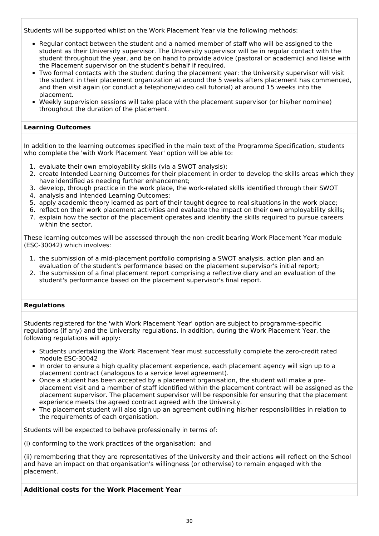Students will be supported whilst on the Work Placement Year via the following methods:

- Regular contact between the student and a named member of staff who will be assigned to the student as their University supervisor. The University supervisor will be in regular contact with the student throughout the year, and be on hand to provide advice (pastoral or academic) and liaise with the Placement supervisor on the student's behalf if required.
- Two formal contacts with the student during the placement year: the University supervisor will visit the student in their placement organization at around the 5 weeks afters placement has commenced, and then visit again (or conduct a telephone/video call tutorial) at around 15 weeks into the placement.
- Weekly supervision sessions will take place with the placement supervisor (or his/her nominee) throughout the duration of the placement.

#### **Learning Outcomes**

In addition to the learning outcomes specified in the main text of the Programme Specification, students who complete the 'with Work Placement Year' option will be able to:

- 1. evaluate their own employability skills (via a SWOT analysis);
- 2. create Intended Learning Outcomes for their placement in order to develop the skills areas which they have identified as needing further enhancement;
- 3. develop, through practice in the work place, the work-related skills identified through their SWOT
- 4. analysis and Intended Learning Outcomes;
- 5. apply academic theory learned as part of their taught degree to real situations in the work place;
- 6. reflect on their work placement activities and evaluate the impact on their own employability skills;
- 7. explain how the sector of the placement operates and identify the skills required to pursue careers within the sector.

These learning outcomes will be assessed through the non-credit bearing Work Placement Year module (ESC-30042) which involves:

- 1. the submission of a mid-placement portfolio comprising a SWOT analysis, action plan and an evaluation of the student's performance based on the placement supervisor's initial report;
- 2. the submission of a final placement report comprising a reflective diary and an evaluation of the student's performance based on the placement supervisor's final report.

#### **Regulations**

Students registered for the 'with Work Placement Year' option are subject to programme-specific regulations (if any) and the University regulations. In addition, during the Work Placement Year, the following regulations will apply:

- Students undertaking the Work Placement Year must successfully complete the zero-credit rated module ESC-30042
- In order to ensure a high quality placement experience, each placement agency will sign up to a placement contract (analogous to a service level agreement).
- Once a student has been accepted by a placement organisation, the student will make a preplacement visit and a member of staff identified within the placement contract will be assigned as the placement supervisor. The placement supervisor will be responsible for ensuring that the placement experience meets the agreed contract agreed with the University.
- The placement student will also sign up an agreement outlining his/her responsibilities in relation to the requirements of each organisation.

Students will be expected to behave professionally in terms of:

(i) conforming to the work practices of the organisation; and

(ii) remembering that they are representatives of the University and their actions will reflect on the School and have an impact on that organisation's willingness (or otherwise) to remain engaged with the placement.

**Additional costs for the Work Placement Year**